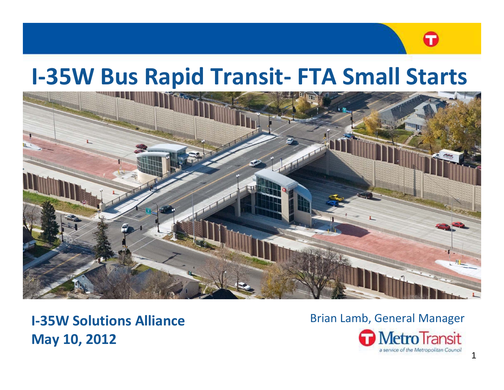# G

# **I-35W Bus Rapid Transit- FTA Small Starts**



**I 35W‐Solutions Alliance May 10, 2012**

#### **W Solutions Alliance Lamb** Brian Lamb, General Manager **MetroTransit**

a service of the Metropolitan Council

1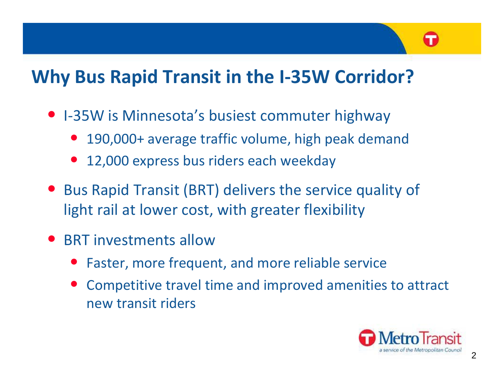# **Why** Bus Rapid Transit in the I-35W Corridor?

- I-35W is Minnesota's busiest commuter highway
	- $\bullet$ 190,000+ average traffic volume, high peak demand
	- $\bullet$ 12,000 express bus riders each weekday
- Bus Rapid Transit (BRT) delivers the service quality of light rail at lower cost, with greater flexibility
- BRT investments allow
	- $\bullet$ Faster, more frequent, and more reliable service
	- $\bullet$  Competitive travel time and improved amenities to attract new transit riders

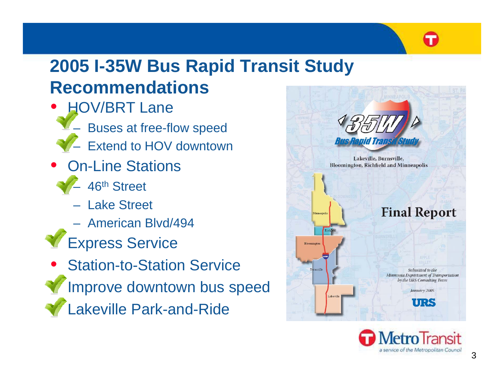

## **2005 I-35W Bus Rapid Transit Study 35W Recommendations**

- $\bullet$ • HOV/BRT Lane Buses at free-flow speed
	- Extend to HOV downtown
- $\bullet$ • On-Line Stations
	- 46th Street
	- Lake Street
	- American Blvd/494
- •Express Service
- $\bullet$ • Station-to-Station Service • Improve downtown bus speed •Lakeville Park-and-Ride



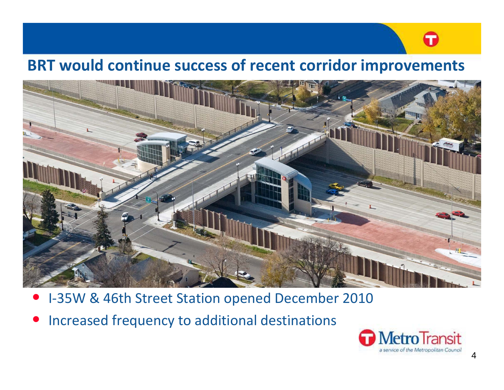# T

### **BRT would continue success of recent corridor improvements**



- $\bullet$ ● I-35W & 46th Street Station opened December 2010
- $\bullet$ • Increased frequency to additional destinations

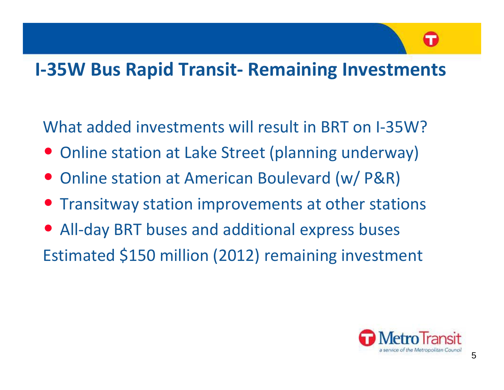# G

## **I‐35W Bus Rapid Transit ‐ Remaining Investments**

What added investments will result in BRT on I-35W?

- Online station at Lake Street (planning underway)
- Online station at American Boulevard (w/ P&R)
- Transitway station improvements at other stations
- $\bullet$  All‐day BRT buses and additional express buses Estimated \$150 million (2012) remaining investment

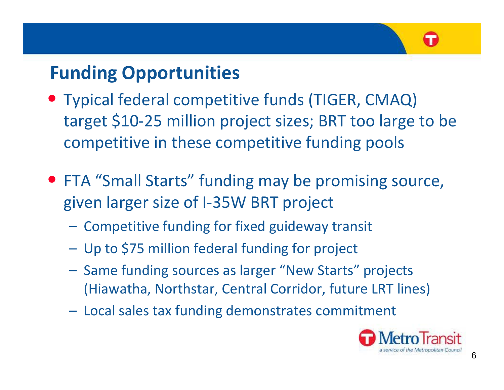

# **Funding Opportunities**

- Typical federal competitive funds (TIGER, CMAQ) target \$10‐25 million project sizes; BRT too large to be competitive in these competitive funding pools
- FTA "Small Starts" funding may be promising source, given larger size of I‐35W BRT project
	- – $-$  Competitive funding for fixed guideway transit
	- –Up to \$75 million federal funding for project
	- –- Same funding sources as larger "New Starts" projects (Hiawatha, Northstar, Central Corridor, future LRT lines)
	- –- Local sales tax funding demonstrates commitment

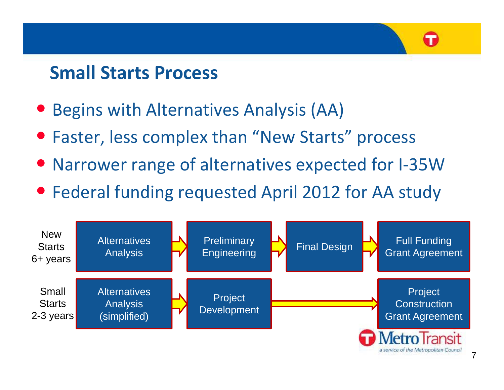## **Small Starts Process**

- $\bullet$ Begins with Alternatives Analysis (AA)
- Faster, less complex than "New Starts" process
- Narrower range of alternatives expected for I-35W
- Federal funding requested April 2012 for AA study



G